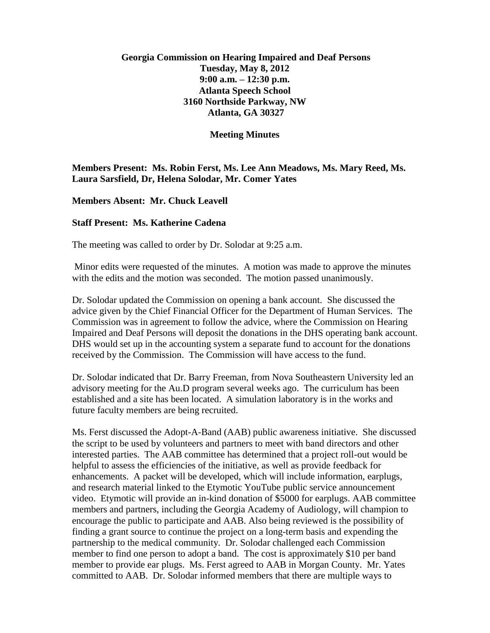# **Georgia Commission on Hearing Impaired and Deaf Persons Tuesday, May 8, 2012 9:00 a.m. – 12:30 p.m. Atlanta Speech School 3160 Northside Parkway, NW Atlanta, GA 30327**

#### **Meeting Minutes**

## **Members Present: Ms. Robin Ferst, Ms. Lee Ann Meadows, Ms. Mary Reed, Ms. Laura Sarsfield, Dr, Helena Solodar, Mr. Comer Yates**

### **Members Absent: Mr. Chuck Leavell**

### **Staff Present: Ms. Katherine Cadena**

The meeting was called to order by Dr. Solodar at 9:25 a.m.

Minor edits were requested of the minutes. A motion was made to approve the minutes with the edits and the motion was seconded. The motion passed unanimously.

Dr. Solodar updated the Commission on opening a bank account. She discussed the advice given by the Chief Financial Officer for the Department of Human Services. The Commission was in agreement to follow the advice, where the Commission on Hearing Impaired and Deaf Persons will deposit the donations in the DHS operating bank account. DHS would set up in the accounting system a separate fund to account for the donations received by the Commission. The Commission will have access to the fund.

Dr. Solodar indicated that Dr. Barry Freeman, from Nova Southeastern University led an advisory meeting for the Au.D program several weeks ago. The curriculum has been established and a site has been located. A simulation laboratory is in the works and future faculty members are being recruited.

Ms. Ferst discussed the Adopt-A-Band (AAB) public awareness initiative. She discussed the script to be used by volunteers and partners to meet with band directors and other interested parties. The AAB committee has determined that a project roll-out would be helpful to assess the efficiencies of the initiative, as well as provide feedback for enhancements. A packet will be developed, which will include information, earplugs, and research material linked to the Etymotic YouTube public service announcement video. Etymotic will provide an in-kind donation of \$5000 for earplugs. AAB committee members and partners, including the Georgia Academy of Audiology, will champion to encourage the public to participate and AAB. Also being reviewed is the possibility of finding a grant source to continue the project on a long-term basis and expending the partnership to the medical community. Dr. Solodar challenged each Commission member to find one person to adopt a band. The cost is approximately \$10 per band member to provide ear plugs. Ms. Ferst agreed to AAB in Morgan County. Mr. Yates committed to AAB. Dr. Solodar informed members that there are multiple ways to